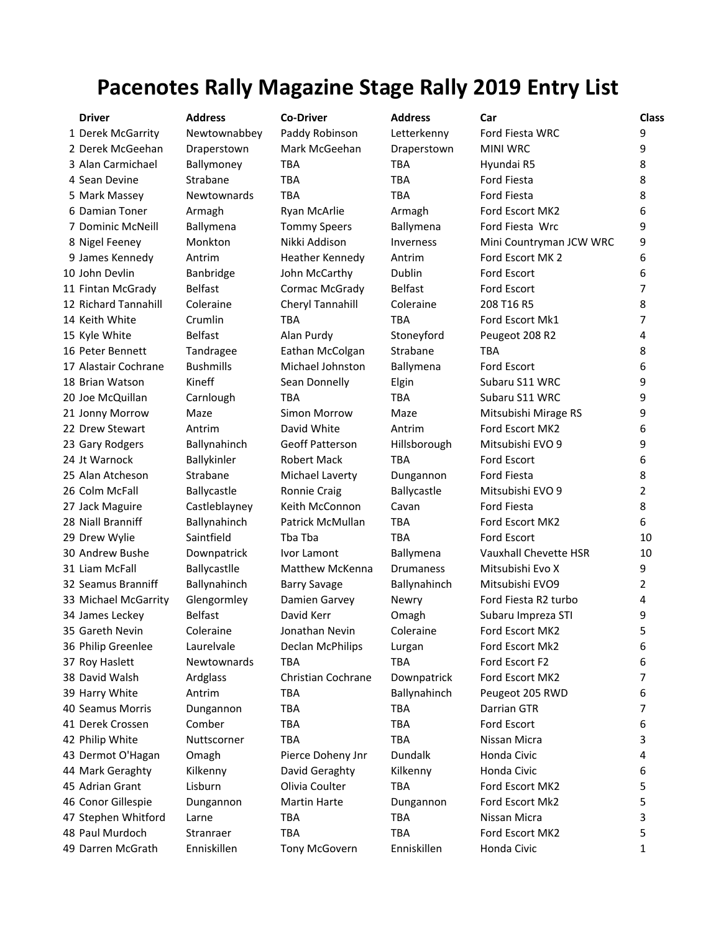## **Pacenotes Rally Magazine Stage Rally 2019 Entry List**

**Driver Address Co-Driver Address Car Class** 1 Derek McGarrity Newtownabbey Paddy Robinson Letterkenny Ford Fiesta WRC 9 2 Derek McGeehan Draperstown Mark McGeehan Draperstown MINI WRC 9 3 Alan Carmichael Ballymoney TBA TBA Hyundai R5 8 4 Sean Devine Strabane TBA TBA TBA Ford Fiesta 8 5 Mark Massey 5 Newtownards TBA TBA TBA Ford Fiesta 8 6 Damian Toner Armagh Ryan McArlie Armagh Ford Escort MK2 6 7 Dominic McNeill Ballymena Tommy Speers Ballymena Ford Fiesta Wrc 9 8 Nigel Feeney Monkton Nikki Addison Inverness Mini Countryman JCW WRC 9 9 James Kennedy Antrim Heather Kennedy Antrim Ford Escort MK 2 6 10 John Devlin Banbridge John McCarthy Dublin Ford Escort 6 11 Fintan McGrady Belfast Cormac McGrady Belfast Ford Escort 7 12 Richard Tannahill Coleraine Cheryl Tannahill Coleraine 208 T16 R5 8 14 Keith White Crumlin TBA TBA Ford Escort Mk1 7 15 Kyle White Belfast Alan Purdy Stoneyford Peugeot 208 R2 4 16 Peter Bennett Tandragee Eathan McColgan Strabane TBA 8 17 Alastair Cochrane Bushmills Michael Johnston Ballymena Ford Escort 6 18 Brian Watson The Kineff Sean Donnelly Elgin Subaru S11 WRC 9 20 Joe McQuillan Carnlough TBA TBA Subaru S11 WRC 9 21 Jonny Morrow Maze Simon Morrow Maze Mitsubishi Mirage RS 9 22 Drew Stewart Antrim Cavid White Antrim Ford Escort MK2 6 23 Gary Rodgers Ballynahinch Geoff Patterson Hillsborough Mitsubishi EVO 9 9 24 Jt Warnock and Ballykinler Robert Mack TBA Ford Escort 6 25 Alan Atcheson Strabane Michael Laverty Dungannon Ford Fiesta 8 26 Colm McFall and Ballycastle Ballocastle Ronnie Craig and Ballycastle Mitsubishi EVO 9 2 27 Jack Maguire Castleblayney Keith McConnon Cavan Ford Fiesta 68 28 Niall Branniff and Ballynahinch Patrick McMullan TBA Ford Escort MK2 6 29 Drew Wylie Saintfield Tba Tba TBA Ford Escort 10 30 Andrew Bushe Downpatrick Ivor Lamont Ballymena Vauxhall Chevette HSR 10 31 Liam McFall Ballycastlle Matthew McKenna Drumaness Mitsubishi Evo X 9 32 Seamus Branniff Ballynahinch Barry Savage Ballynahinch Mitsubishi EVO9 2 33 Michael McGarrity Glengormley Damien Garvey Newry Ford Fiesta R2 turbo 4 34 James Leckey Belfast David Kerr Omagh Subaru Impreza STI 9 35 Gareth Nevin Coleraine Jonathan Nevin Coleraine Ford Escort MK2 5 36 Philip Greenlee Laurelvale Declan McPhilips Lurgan Ford Escort Mk2 6 37 Roy Haslett Mewtownards TBA TBA Ford Escort F2 6 38 David Walsh Ardglass Christian Cochrane Downpatrick Ford Escort MK2 7 39 Harry White Antrim TBA Ballynahinch Peugeot 205 RWD 6 40 Seamus Morris Dungannon TBA TBA Darrian GTR 7 41 Derek Crossen Comber TBA TBA Ford Escort 6 42 Philip White Muttscorner TBA TBA Nissan Micra 3 43 Dermot O'Hagan Omagh Pierce Doheny Jnr Dundalk Honda Civic 4 44 Mark Geraghty Kilkenny David Geraghty Kilkenny Honda Civic 6 45 Adrian Grant Lisburn Olivia Coulter TBA Ford Escort MK2 5 46 Conor Gillespie Dungannon Martin Harte Dungannon Ford Escort Mk2 5 47 Stephen Whitford Larne TBA TBA TBA Nissan Micra 3 48 Paul Murdoch Stranraer TBA TBA TBA Ford Escort MK2 5 49 Darren McGrath Enniskillen Tony McGovern Enniskillen Honda Civic 1